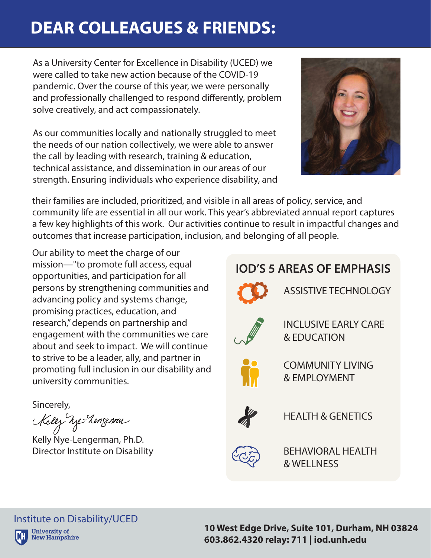## **DEAR COLLEAGUES & FRIENDS:**

As a University Center for Excellence in Disability (UCED) we were called to take new action because of the COVID-19 pandemic. Over the course of this year, we were personally and professionally challenged to respond differently, problem solve creatively, and act compassionately.

As our communities locally and nationally struggled to meet the needs of our nation collectively, we were able to answer the call by leading with research, training & education, technical assistance, and dissemination in our areas of our strength. Ensuring individuals who experience disability, and



their families are included, prioritized, and visible in all areas of policy, service, and community life are essential in all our work. This year's abbreviated annual report captures a few key highlights of this work. Our activities continue to result in impactful changes and outcomes that increase participation, inclusion, and belonging of all people.

Our ability to meet the charge of our mission—"to promote full access, equal opportunities, and participation for all persons by strengthening communities and advancing policy and systems change, promising practices, education, and research," depends on partnership and engagement with the communities we care about and seek to impact. We will continue to strive to be a leader, ally, and partner in promoting full inclusion in our disability and university communities.

Sincerely,

Kelez We-Lenzennar

Kelly Nye-Lengerman, Ph.D. Director Institute on Disability



**10 West Edge Drive, Suite 101, Durham, NH 03824 603.862.4320 relay: 711 | iod.unh.edu**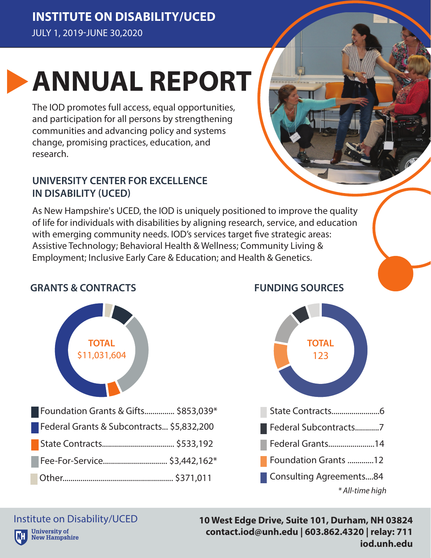**INSTITUTE ON DISABILITY/UCED** JULY 1, 2019-JUNE 30,2020

# **ANNUAL REPORT**

The IOD promotes full access, equal opportunities, and participation for all persons by strengthening communities and advancing policy and systems change, promising practices, education, and research.

#### **UNIVERSITY CENTER FOR EXCELLENCE IN DISABILITY (UCED)**

As New Hampshire's UCED, the IOD is uniquely positioned to improve the quality of life for individuals with disabilities by aligning research, service, and education with emerging community needs. IOD's services target five strategic areas: Assistive Technology; Behavioral Health & Wellness; Community Living & Employment; Inclusive Early Care & Education; and Health & Genetics.



#### **FUNDING SOURCES**



#### Institute on Disability/UCED**University of**

**New Hampshire** 

**10 West Edge Drive, Suite 101, Durham, NH 03824 contact.iod@unh.edu | 603.862.4320 | relay: 711 iod.unh.edu**